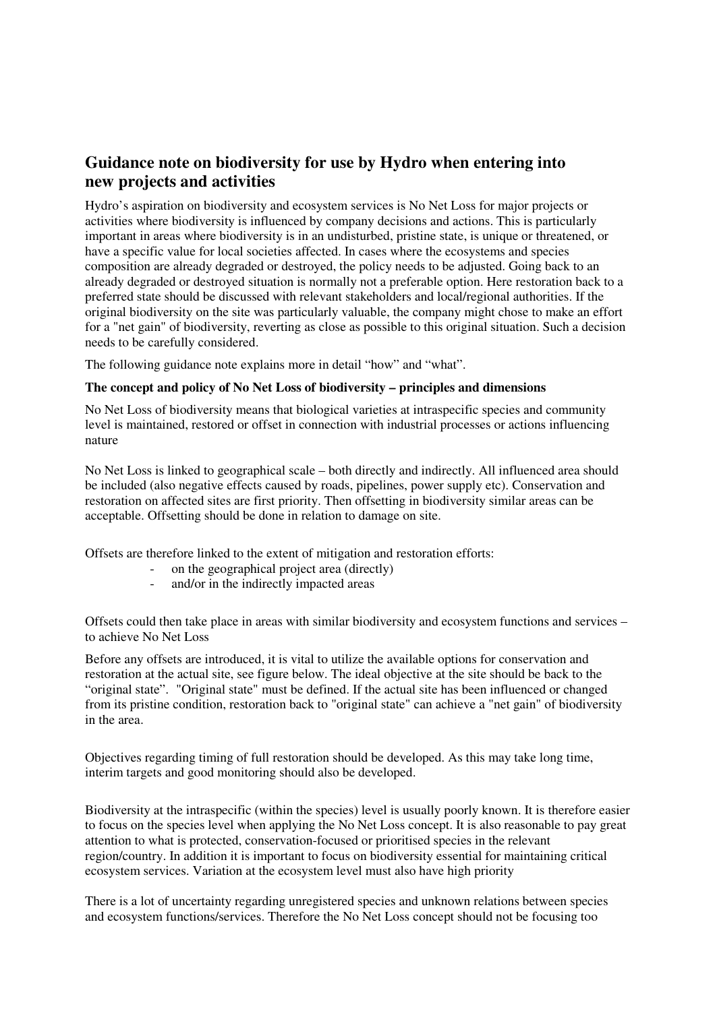## **Guidance note on biodiversity for use by Hydro when entering into new projects and activities**

Hydro's aspiration on biodiversity and ecosystem services is No Net Loss for major projects or activities where biodiversity is influenced by company decisions and actions. This is particularly important in areas where biodiversity is in an undisturbed, pristine state, is unique or threatened, or have a specific value for local societies affected. In cases where the ecosystems and species composition are already degraded or destroyed, the policy needs to be adjusted. Going back to an already degraded or destroyed situation is normally not a preferable option. Here restoration back to a preferred state should be discussed with relevant stakeholders and local/regional authorities. If the original biodiversity on the site was particularly valuable, the company might chose to make an effort for a "net gain" of biodiversity, reverting as close as possible to this original situation. Such a decision needs to be carefully considered.

The following guidance note explains more in detail "how" and "what".

## **The concept and policy of No Net Loss of biodiversity – principles and dimensions**

No Net Loss of biodiversity means that biological varieties at intraspecific species and community level is maintained, restored or offset in connection with industrial processes or actions influencing nature

No Net Loss is linked to geographical scale – both directly and indirectly. All influenced area should be included (also negative effects caused by roads, pipelines, power supply etc). Conservation and restoration on affected sites are first priority. Then offsetting in biodiversity similar areas can be acceptable. Offsetting should be done in relation to damage on site.

Offsets are therefore linked to the extent of mitigation and restoration efforts:

- on the geographical project area (directly)<br>and/or in the indirectly impacted areas
- and/or in the indirectly impacted areas

Offsets could then take place in areas with similar biodiversity and ecosystem functions and services – to achieve No Net Loss

Before any offsets are introduced, it is vital to utilize the available options for conservation and restoration at the actual site, see figure below. The ideal objective at the site should be back to the "original state". "Original state" must be defined. If the actual site has been influenced or changed from its pristine condition, restoration back to "original state" can achieve a "net gain" of biodiversity in the area.

Objectives regarding timing of full restoration should be developed. As this may take long time, interim targets and good monitoring should also be developed.

Biodiversity at the intraspecific (within the species) level is usually poorly known. It is therefore easier to focus on the species level when applying the No Net Loss concept. It is also reasonable to pay great attention to what is protected, conservation-focused or prioritised species in the relevant region/country. In addition it is important to focus on biodiversity essential for maintaining critical ecosystem services. Variation at the ecosystem level must also have high priority

There is a lot of uncertainty regarding unregistered species and unknown relations between species and ecosystem functions/services. Therefore the No Net Loss concept should not be focusing too